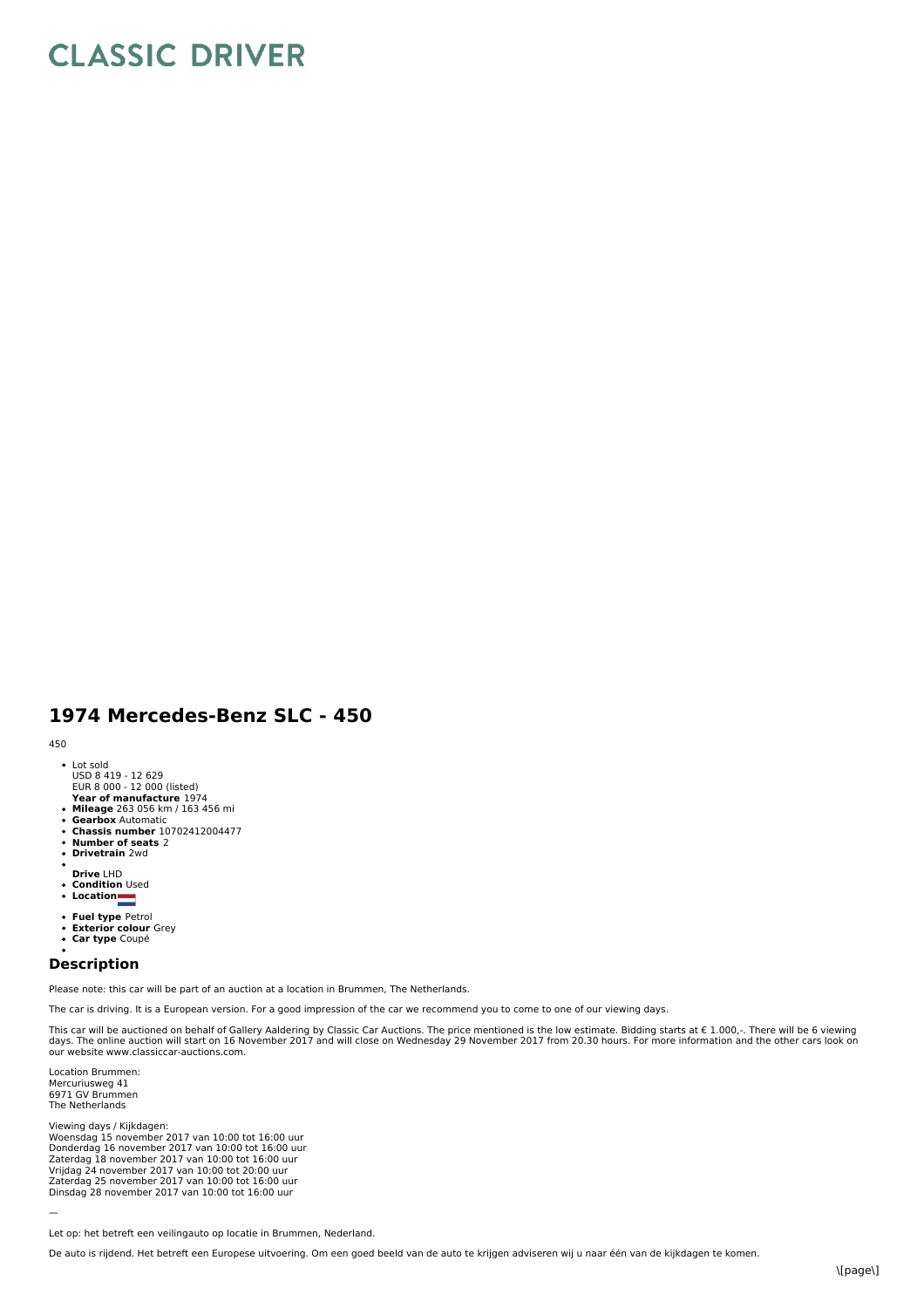## **CLASSIC DRIVER**

## **1974 Mercedes-Benz SLC - 450**

## 450

- Lot sold USD 8 419 - 12 629
- 
- **E**UR 8 000 12 000 (listed)<br>**Year of manufacture** 1974
- **Mileage** 263 056 km / 163 456 mi **Gearbox** Automatic
- 
- **Chassis number** 10702412004477 **Number of seats** 2
- **Drivetrain** 2wd
- **Drive** LHD
- 
- **Condition** Used **Location**
- 
- **Fuel type** Petrol  $\ddot{\phantom{0}}$
- **Exterior colour** Grey **Car type** Coupé  $\bullet$
- 

## **Description**

Please note: this car will be part of an auction at a location in Brummen, The Netherlands.

The car is driving. It is a European version. For a good impression of the car we recommend you to come to one of our viewing days.

This car will be auctioned on behalf of Gallery Aaldering by Classic Car Auctions. The price mentioned is the low estimate. Bidding starts at  $\epsilon$  1.000,-. There will be 6 viewing days. The online auction will start on 16 November 2017 and will close on Wednesday 29 November 2017 from 20.30 hours. For more information and the other cars look on our website www.classiccar-auctions.com.

Location Brummen: Mercuriusweg 41 6971 GV Brummen The Netherlands

Viewing days / Kijkdagen:<br>Woensdag 15 november 2017 van 10:00 tot 16:00 uur<br>Donderdag 16 november 2017 van 10:00 tot 16:00 uur Zaterdag 18 november 2017 van 10:00 tot 16:00 uur Vrijdag 24 november 2017 van 10:00 tot 20:00 uur<br>Zaterdag 25 november 2017 van 10:00 tot 16:00 uur Dinsdag 28 november 2017 van 10:00 tot 16:00 uur

—

Let op: het betreft een veilingauto op locatie in Brummen, Nederland.

De auto is rijdend. Het betreft een Europese uitvoering. Om een goed beeld van de auto te krijgen adviseren wij u naar één van de kijkdagen te komen.